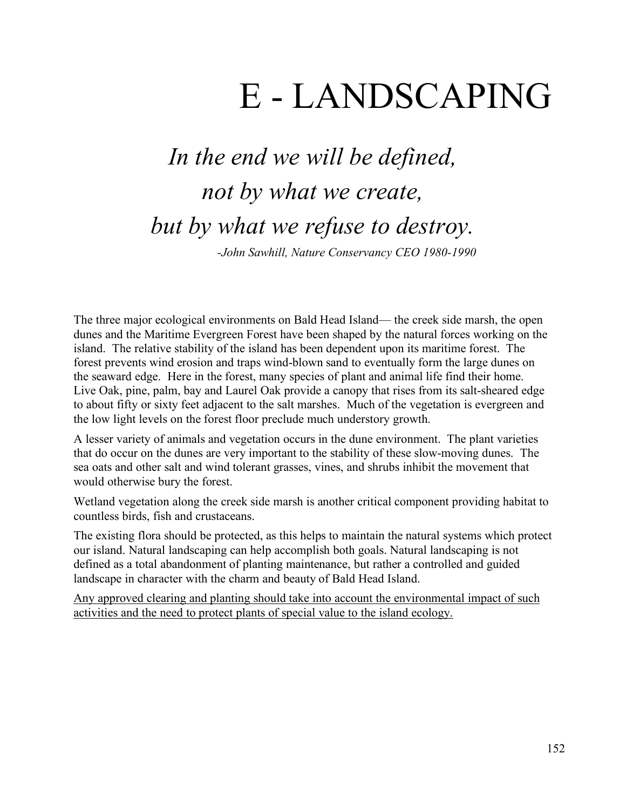# E - LANDSCAPING

# *In the end we will be defined, not by what we create, but by what we refuse to destroy. -John Sawhill, Nature Conservancy CEO 1980-1990*

The three major ecological environments on Bald Head Island— the creek side marsh, the open dunes and the Maritime Evergreen Forest have been shaped by the natural forces working on the island. The relative stability of the island has been dependent upon its maritime forest. The forest prevents wind erosion and traps wind-blown sand to eventually form the large dunes on the seaward edge. Here in the forest, many species of plant and animal life find their home. Live Oak, pine, palm, bay and Laurel Oak provide a canopy that rises from its salt-sheared edge to about fifty or sixty feet adjacent to the salt marshes. Much of the vegetation is evergreen and the low light levels on the forest floor preclude much understory growth.

A lesser variety of animals and vegetation occurs in the dune environment. The plant varieties that do occur on the dunes are very important to the stability of these slow-moving dunes. The sea oats and other salt and wind tolerant grasses, vines, and shrubs inhibit the movement that would otherwise bury the forest.

Wetland vegetation along the creek side marsh is another critical component providing habitat to countless birds, fish and crustaceans.

The existing flora should be protected, as this helps to maintain the natural systems which protect our island. Natural landscaping can help accomplish both goals. Natural landscaping is not defined as a total abandonment of planting maintenance, but rather a controlled and guided landscape in character with the charm and beauty of Bald Head Island.

Any approved clearing and planting should take into account the environmental impact of such activities and the need to protect plants of special value to the island ecology.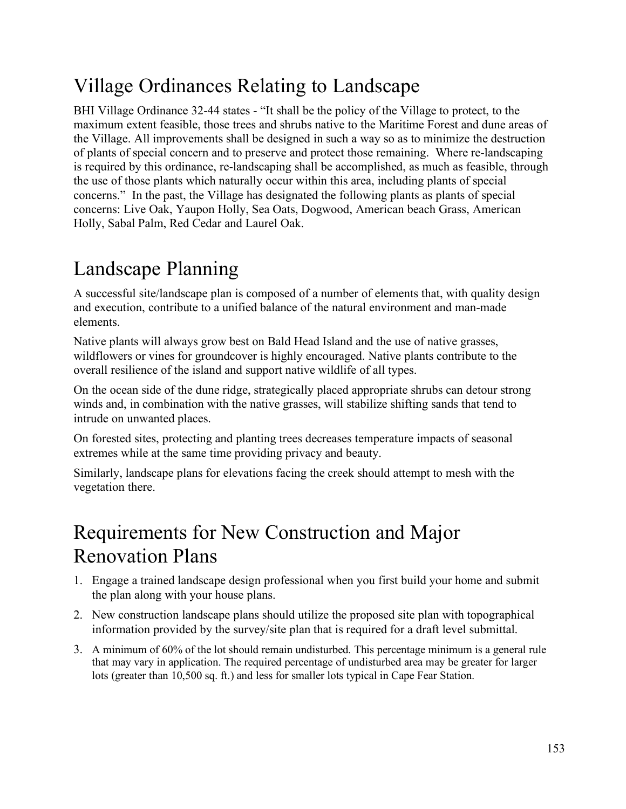## Village Ordinances Relating to Landscape

BHI Village Ordinance 32-44 states - "It shall be the policy of the Village to protect, to the maximum extent feasible, those trees and shrubs native to the Maritime Forest and dune areas of the Village. All improvements shall be designed in such a way so as to minimize the destruction of plants of special concern and to preserve and protect those remaining. Where re-landscaping is required by this ordinance, re-landscaping shall be accomplished, as much as feasible, through the use of those plants which naturally occur within this area, including plants of special concerns." In the past, the Village has designated the following plants as plants of special concerns: Live Oak, Yaupon Holly, Sea Oats, Dogwood, American beach Grass, American Holly, Sabal Palm, Red Cedar and Laurel Oak.

## Landscape Planning

A successful site/landscape plan is composed of a number of elements that, with quality design and execution, contribute to a unified balance of the natural environment and man-made elements.

Native plants will always grow best on Bald Head Island and the use of native grasses, wildflowers or vines for groundcover is highly encouraged. Native plants contribute to the overall resilience of the island and support native wildlife of all types.

On the ocean side of the dune ridge, strategically placed appropriate shrubs can detour strong winds and, in combination with the native grasses, will stabilize shifting sands that tend to intrude on unwanted places.

On forested sites, protecting and planting trees decreases temperature impacts of seasonal extremes while at the same time providing privacy and beauty.

Similarly, landscape plans for elevations facing the creek should attempt to mesh with the vegetation there.

#### Requirements for New Construction and Major Renovation Plans

- 1. Engage a trained landscape design professional when you first build your home and submit the plan along with your house plans.
- 2. New construction landscape plans should utilize the proposed site plan with topographical information provided by the survey/site plan that is required for a draft level submittal.
- 3. A minimum of 60% of the lot should remain undisturbed. This percentage minimum is a general rule that may vary in application. The required percentage of undisturbed area may be greater for larger lots (greater than 10,500 sq. ft.) and less for smaller lots typical in Cape Fear Station.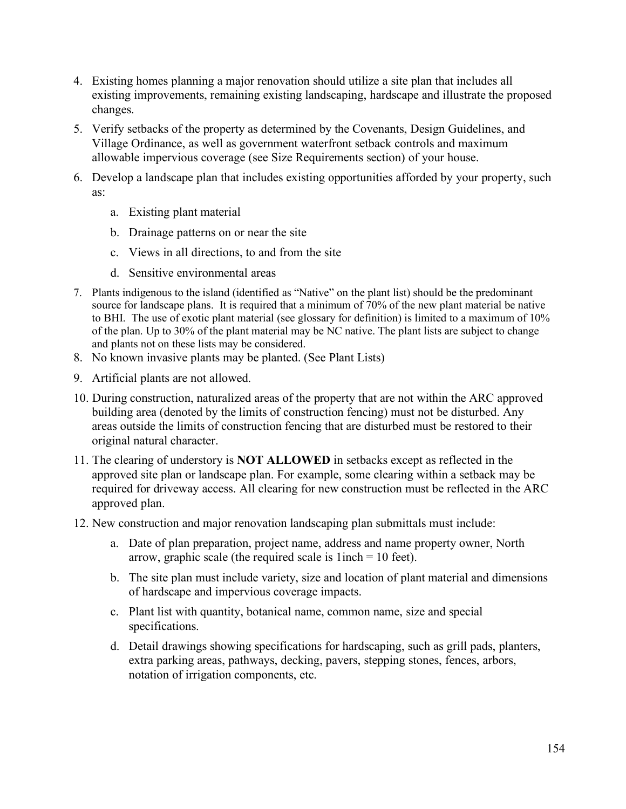- 4. Existing homes planning a major renovation should utilize a site plan that includes all existing improvements, remaining existing landscaping, hardscape and illustrate the proposed changes.
- 5. Verify setbacks of the property as determined by the Covenants, Design Guidelines, and Village Ordinance, as well as government waterfront setback controls and maximum allowable impervious coverage (see Size Requirements section) of your house.
- 6. Develop a landscape plan that includes existing opportunities afforded by your property, such as:
	- a. Existing plant material
	- b. Drainage patterns on or near the site
	- c. Views in all directions, to and from the site
	- d. Sensitive environmental areas
- 7. Plants indigenous to the island (identified as "Native" on the plant list) should be the predominant source for landscape plans. It is required that a minimum of 70% of the new plant material be native to BHI. The use of exotic plant material (see glossary for definition) is limited to a maximum of 10% of the plan. Up to 30% of the plant material may be NC native. The plant lists are subject to change and plants not on these lists may be considered.
- 8. No known invasive plants may be planted. (See Plant Lists)
- 9. Artificial plants are not allowed.
- 10. During construction, naturalized areas of the property that are not within the ARC approved building area (denoted by the limits of construction fencing) must not be disturbed. Any areas outside the limits of construction fencing that are disturbed must be restored to their original natural character.
- 11. The clearing of understory is **NOT ALLOWED** in setbacks except as reflected in the approved site plan or landscape plan. For example, some clearing within a setback may be required for driveway access. All clearing for new construction must be reflected in the ARC approved plan.
- 12. New construction and major renovation landscaping plan submittals must include:
	- a. Date of plan preparation, project name, address and name property owner, North arrow, graphic scale (the required scale is 1inch = 10 feet).
	- b. The site plan must include variety, size and location of plant material and dimensions of hardscape and impervious coverage impacts.
	- c. Plant list with quantity, botanical name, common name, size and special specifications.
	- d. Detail drawings showing specifications for hardscaping, such as grill pads, planters, extra parking areas, pathways, decking, pavers, stepping stones, fences, arbors, notation of irrigation components, etc.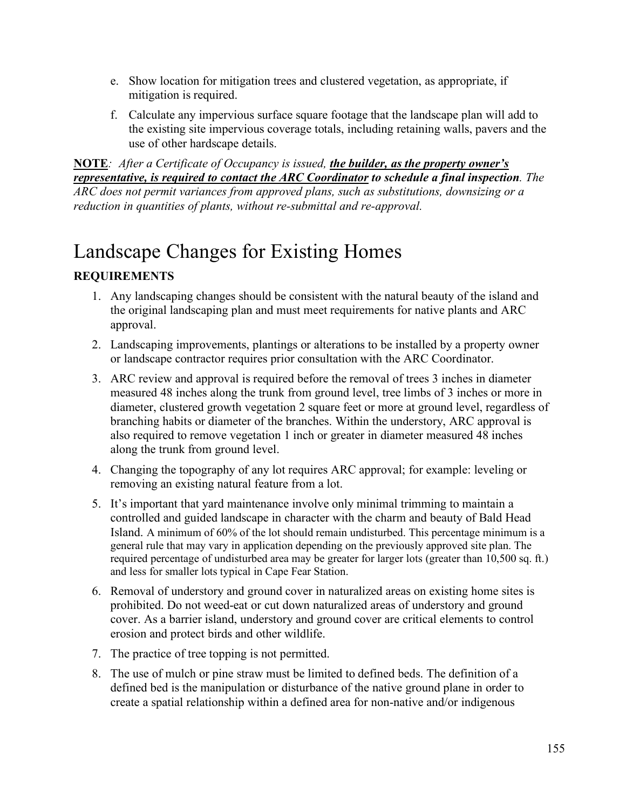- e. Show location for mitigation trees and clustered vegetation, as appropriate, if mitigation is required.
- f. Calculate any impervious surface square footage that the landscape plan will add to the existing site impervious coverage totals, including retaining walls, pavers and the use of other hardscape details.

**NOTE***: After a Certificate of Occupancy is issued, the builder, as the property owner's representative, is required to contact the ARC Coordinator to schedule a final inspection. The ARC does not permit variances from approved plans, such as substitutions, downsizing or a reduction in quantities of plants, without re-submittal and re-approval.*

## Landscape Changes for Existing Homes

#### **REQUIREMENTS**

- 1. Any landscaping changes should be consistent with the natural beauty of the island and the original landscaping plan and must meet requirements for native plants and ARC approval.
- 2. Landscaping improvements, plantings or alterations to be installed by a property owner or landscape contractor requires prior consultation with the ARC Coordinator.
- 3. ARC review and approval is required before the removal of trees 3 inches in diameter measured 48 inches along the trunk from ground level, tree limbs of 3 inches or more in diameter, clustered growth vegetation 2 square feet or more at ground level, regardless of branching habits or diameter of the branches. Within the understory, ARC approval is also required to remove vegetation 1 inch or greater in diameter measured 48 inches along the trunk from ground level.
- 4. Changing the topography of any lot requires ARC approval; for example: leveling or removing an existing natural feature from a lot.
- 5. It's important that yard maintenance involve only minimal trimming to maintain a controlled and guided landscape in character with the charm and beauty of Bald Head Island. A minimum of 60% of the lot should remain undisturbed. This percentage minimum is a general rule that may vary in application depending on the previously approved site plan. The required percentage of undisturbed area may be greater for larger lots (greater than 10,500 sq. ft.) and less for smaller lots typical in Cape Fear Station.
- 6. Removal of understory and ground cover in naturalized areas on existing home sites is prohibited. Do not weed-eat or cut down naturalized areas of understory and ground cover. As a barrier island, understory and ground cover are critical elements to control erosion and protect birds and other wildlife.
- 7. The practice of tree topping is not permitted.
- 8. The use of mulch or pine straw must be limited to defined beds. The definition of a defined bed is the manipulation or disturbance of the native ground plane in order to create a spatial relationship within a defined area for non-native and/or indigenous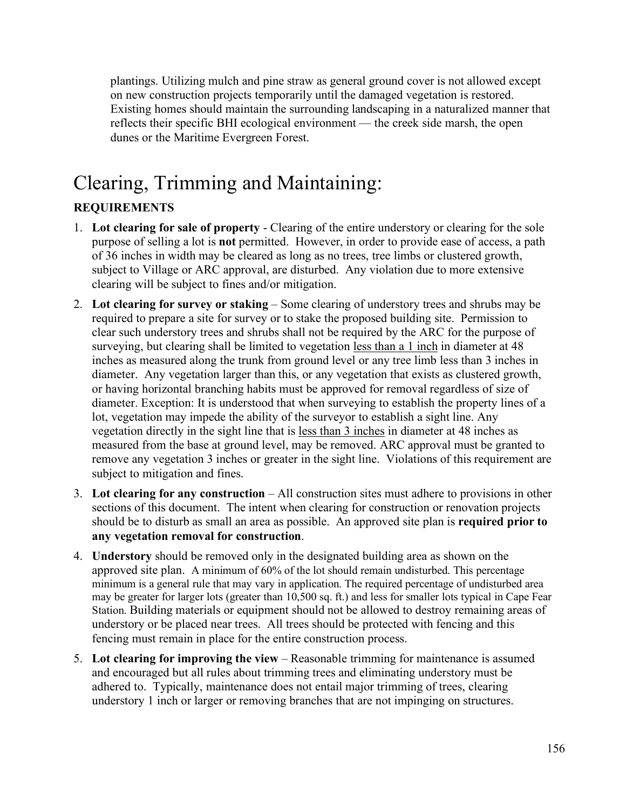plantings. Utilizing mulch and pine straw as general ground cover is not allowed except on new construction projects temporarily until the damaged vegetation is restored. Existing homes should maintain the surrounding landscaping in a naturalized manner that reflects their specific BHI ecological environment — the creek side marsh, the open dunes or the Maritime Evergreen Forest.

#### Clearing, Trimming and Maintaining: **REQUIREMENTS**

- 1. **Lot clearing for sale of property** Clearing of the entire understory or clearing for the sole purpose of selling a lot is **not** permitted. However, in order to provide ease of access, a path of 36 inches in width may be cleared as long as no trees, tree limbs or clustered growth, subject to Village or ARC approval, are disturbed. Any violation due to more extensive clearing will be subject to fines and/or mitigation.
- 2. **Lot clearing for survey or staking** Some clearing of understory trees and shrubs may be required to prepare a site for survey or to stake the proposed building site. Permission to clear such understory trees and shrubs shall not be required by the ARC for the purpose of surveying, but clearing shall be limited to vegetation less than a 1 inch in diameter at 48 inches as measured along the trunk from ground level or any tree limb less than 3 inches in diameter. Any vegetation larger than this, or any vegetation that exists as clustered growth, or having horizontal branching habits must be approved for removal regardless of size of diameter. Exception: It is understood that when surveying to establish the property lines of a lot, vegetation may impede the ability of the surveyor to establish a sight line. Any vegetation directly in the sight line that is less than 3 inches in diameter at 48 inches as measured from the base at ground level, may be removed. ARC approval must be granted to remove any vegetation 3 inches or greater in the sight line. Violations of this requirement are subject to mitigation and fines.
- 3. **Lot clearing for any construction** All construction sites must adhere to provisions in other sections of this document. The intent when clearing for construction or renovation projects should be to disturb as small an area as possible. An approved site plan is **required prior to any vegetation removal for construction**.
- 4. **Understory** should be removed only in the designated building area as shown on the approved site plan. A minimum of 60% of the lot should remain undisturbed. This percentage minimum is a general rule that may vary in application. The required percentage of undisturbed area may be greater for larger lots (greater than 10,500 sq. ft.) and less for smaller lots typical in Cape Fear Station. Building materials or equipment should not be allowed to destroy remaining areas of understory or be placed near trees. All trees should be protected with fencing and this fencing must remain in place for the entire construction process.
- 5. **Lot clearing for improving the view** Reasonable trimming for maintenance is assumed and encouraged but all rules about trimming trees and eliminating understory must be adhered to. Typically, maintenance does not entail major trimming of trees, clearing understory 1 inch or larger or removing branches that are not impinging on structures.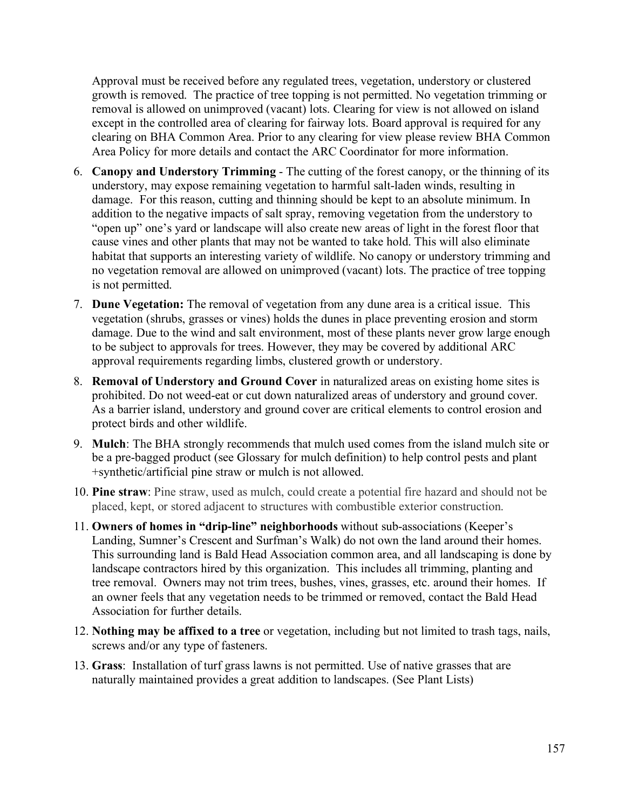Approval must be received before any regulated trees, vegetation, understory or clustered growth is removed. The practice of tree topping is not permitted. No vegetation trimming or removal is allowed on unimproved (vacant) lots. Clearing for view is not allowed on island except in the controlled area of clearing for fairway lots. Board approval is required for any clearing on BHA Common Area. Prior to any clearing for view please review BHA Common Area Policy for more details and contact the ARC Coordinator for more information.

- 6. **Canopy and Understory Trimming** The cutting of the forest canopy, or the thinning of its understory, may expose remaining vegetation to harmful salt-laden winds, resulting in damage. For this reason, cutting and thinning should be kept to an absolute minimum. In addition to the negative impacts of salt spray, removing vegetation from the understory to "open up" one's yard or landscape will also create new areas of light in the forest floor that cause vines and other plants that may not be wanted to take hold. This will also eliminate habitat that supports an interesting variety of wildlife. No canopy or understory trimming and no vegetation removal are allowed on unimproved (vacant) lots. The practice of tree topping is not permitted.
- 7. **Dune Vegetation:** The removal of vegetation from any dune area is a critical issue. This vegetation (shrubs, grasses or vines) holds the dunes in place preventing erosion and storm damage. Due to the wind and salt environment, most of these plants never grow large enough to be subject to approvals for trees. However, they may be covered by additional ARC approval requirements regarding limbs, clustered growth or understory.
- 8. **Removal of Understory and Ground Cover** in naturalized areas on existing home sites is prohibited. Do not weed-eat or cut down naturalized areas of understory and ground cover. As a barrier island, understory and ground cover are critical elements to control erosion and protect birds and other wildlife.
- 9. **Mulch**: The BHA strongly recommends that mulch used comes from the island mulch site or be a pre-bagged product (see Glossary for mulch definition) to help control pests and plant +synthetic/artificial pine straw or mulch is not allowed.
- 10. **Pine straw**: Pine straw, used as mulch, could create a potential fire hazard and should not be placed, kept, or stored adjacent to structures with combustible exterior construction.
- 11. **Owners of homes in "drip-line" neighborhoods** without sub-associations (Keeper's Landing, Sumner's Crescent and Surfman's Walk) do not own the land around their homes. This surrounding land is Bald Head Association common area, and all landscaping is done by landscape contractors hired by this organization. This includes all trimming, planting and tree removal. Owners may not trim trees, bushes, vines, grasses, etc. around their homes. If an owner feels that any vegetation needs to be trimmed or removed, contact the Bald Head Association for further details.
- 12. **Nothing may be affixed to a tree** or vegetation, including but not limited to trash tags, nails, screws and/or any type of fasteners.
- 13. **Grass**: Installation of turf grass lawns is not permitted. Use of native grasses that are naturally maintained provides a great addition to landscapes. (See Plant Lists)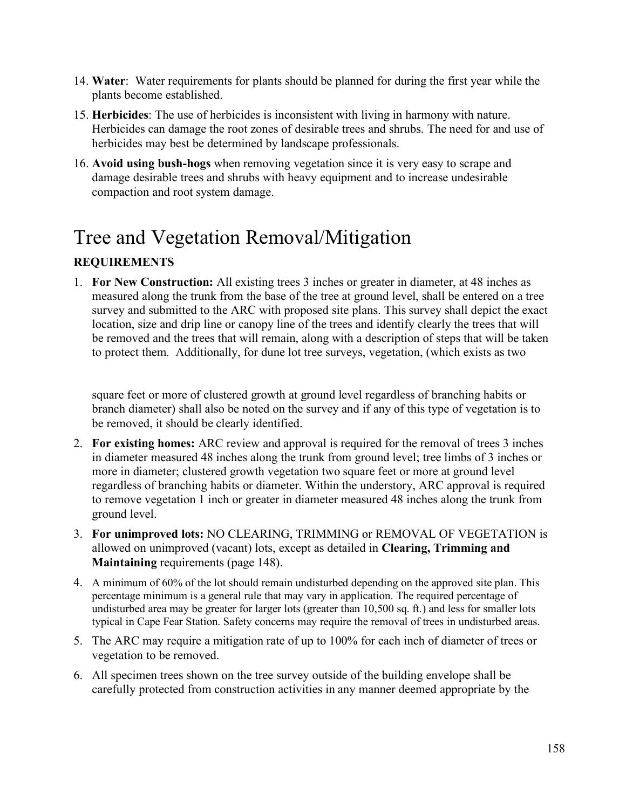- 14. **Water**: Water requirements for plants should be planned for during the first year while the plants become established.
- 15. **Herbicides**: The use of herbicides is inconsistent with living in harmony with nature. Herbicides can damage the root zones of desirable trees and shrubs. The need for and use of herbicides may best be determined by landscape professionals.
- 16. **Avoid using bush-hogs** when removing vegetation since it is very easy to scrape and damage desirable trees and shrubs with heavy equipment and to increase undesirable compaction and root system damage.

## Tree and Vegetation Removal/Mitigation

#### **REQUIREMENTS**

1. **For New Construction:** All existing trees 3 inches or greater in diameter, at 48 inches as measured along the trunk from the base of the tree at ground level, shall be entered on a tree survey and submitted to the ARC with proposed site plans. This survey shall depict the exact location, size and drip line or canopy line of the trees and identify clearly the trees that will be removed and the trees that will remain, along with a description of steps that will be taken to protect them. Additionally, for dune lot tree surveys, vegetation, (which exists as two

square feet or more of clustered growth at ground level regardless of branching habits or branch diameter) shall also be noted on the survey and if any of this type of vegetation is to be removed, it should be clearly identified.

- 2. **For existing homes:** ARC review and approval is required for the removal of trees 3 inches in diameter measured 48 inches along the trunk from ground level; tree limbs of 3 inches or more in diameter; clustered growth vegetation two square feet or more at ground level regardless of branching habits or diameter. Within the understory, ARC approval is required to remove vegetation 1 inch or greater in diameter measured 48 inches along the trunk from ground level.
- 3. **For unimproved lots:** NO CLEARING, TRIMMING or REMOVAL OF VEGETATION is allowed on unimproved (vacant) lots, except as detailed in **Clearing, Trimming and Maintaining** requirements (page 148).
- 4. A minimum of 60% of the lot should remain undisturbed depending on the approved site plan. This percentage minimum is a general rule that may vary in application. The required percentage of undisturbed area may be greater for larger lots (greater than 10,500 sq. ft.) and less for smaller lots typical in Cape Fear Station. Safety concerns may require the removal of trees in undisturbed areas.
- 5. The ARC may require a mitigation rate of up to 100% for each inch of diameter of trees or vegetation to be removed.
- 6. All specimen trees shown on the tree survey outside of the building envelope shall be carefully protected from construction activities in any manner deemed appropriate by the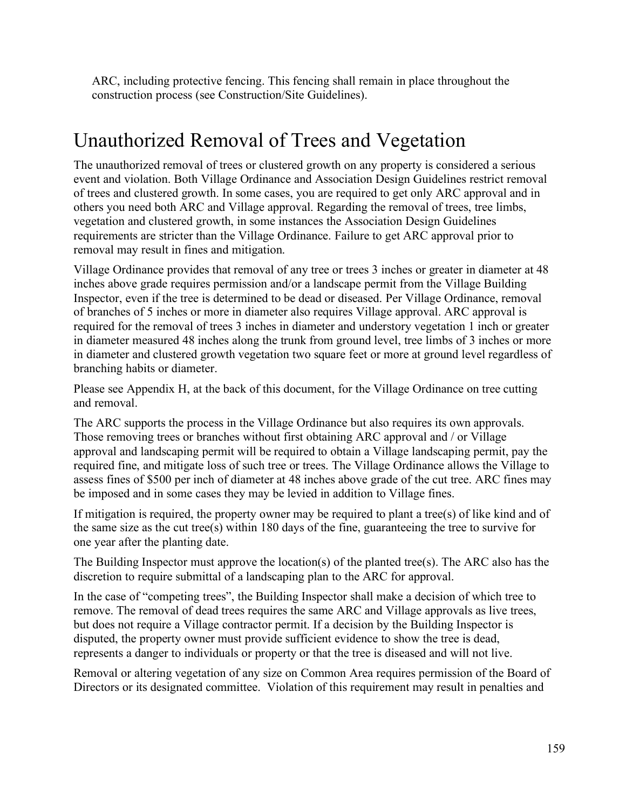ARC, including protective fencing. This fencing shall remain in place throughout the construction process (see Construction/Site Guidelines).

### Unauthorized Removal of Trees and Vegetation

The unauthorized removal of trees or clustered growth on any property is considered a serious event and violation. Both Village Ordinance and Association Design Guidelines restrict removal of trees and clustered growth. In some cases, you are required to get only ARC approval and in others you need both ARC and Village approval. Regarding the removal of trees, tree limbs, vegetation and clustered growth, in some instances the Association Design Guidelines requirements are stricter than the Village Ordinance. Failure to get ARC approval prior to removal may result in fines and mitigation.

Village Ordinance provides that removal of any tree or trees 3 inches or greater in diameter at 48 inches above grade requires permission and/or a landscape permit from the Village Building Inspector, even if the tree is determined to be dead or diseased. Per Village Ordinance, removal of branches of 5 inches or more in diameter also requires Village approval. ARC approval is required for the removal of trees 3 inches in diameter and understory vegetation 1 inch or greater in diameter measured 48 inches along the trunk from ground level, tree limbs of 3 inches or more in diameter and clustered growth vegetation two square feet or more at ground level regardless of branching habits or diameter.

Please see Appendix H, at the back of this document, for the Village Ordinance on tree cutting and removal.

The ARC supports the process in the Village Ordinance but also requires its own approvals. Those removing trees or branches without first obtaining ARC approval and / or Village approval and landscaping permit will be required to obtain a Village landscaping permit, pay the required fine, and mitigate loss of such tree or trees. The Village Ordinance allows the Village to assess fines of \$500 per inch of diameter at 48 inches above grade of the cut tree. ARC fines may be imposed and in some cases they may be levied in addition to Village fines.

If mitigation is required, the property owner may be required to plant a tree(s) of like kind and of the same size as the cut tree(s) within 180 days of the fine, guaranteeing the tree to survive for one year after the planting date.

The Building Inspector must approve the location(s) of the planted tree(s). The ARC also has the discretion to require submittal of a landscaping plan to the ARC for approval.

In the case of "competing trees", the Building Inspector shall make a decision of which tree to remove. The removal of dead trees requires the same ARC and Village approvals as live trees, but does not require a Village contractor permit. If a decision by the Building Inspector is disputed, the property owner must provide sufficient evidence to show the tree is dead, represents a danger to individuals or property or that the tree is diseased and will not live.

Removal or altering vegetation of any size on Common Area requires permission of the Board of Directors or its designated committee. Violation of this requirement may result in penalties and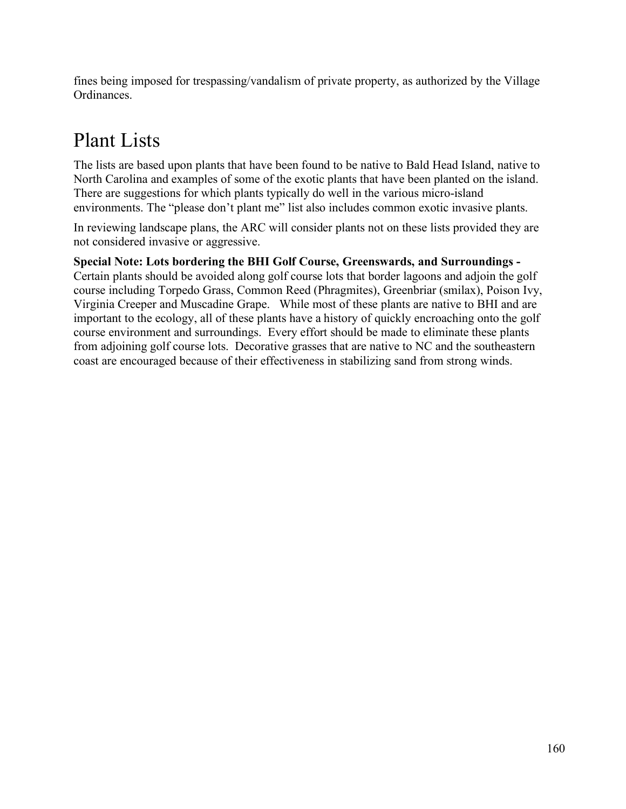fines being imposed for trespassing/vandalism of private property, as authorized by the Village Ordinances.

## Plant Lists

The lists are based upon plants that have been found to be native to Bald Head Island, native to North Carolina and examples of some of the exotic plants that have been planted on the island. There are suggestions for which plants typically do well in the various micro-island environments. The "please don't plant me" list also includes common exotic invasive plants.

In reviewing landscape plans, the ARC will consider plants not on these lists provided they are not considered invasive or aggressive.

#### **Special Note: Lots bordering the BHI Golf Course, Greenswards, and Surroundings -**

Certain plants should be avoided along golf course lots that border lagoons and adjoin the golf course including Torpedo Grass, Common Reed (Phragmites), Greenbriar (smilax), Poison Ivy, Virginia Creeper and Muscadine Grape. While most of these plants are native to BHI and are important to the ecology, all of these plants have a history of quickly encroaching onto the golf course environment and surroundings. Every effort should be made to eliminate these plants from adjoining golf course lots. Decorative grasses that are native to NC and the southeastern coast are encouraged because of their effectiveness in stabilizing sand from strong winds.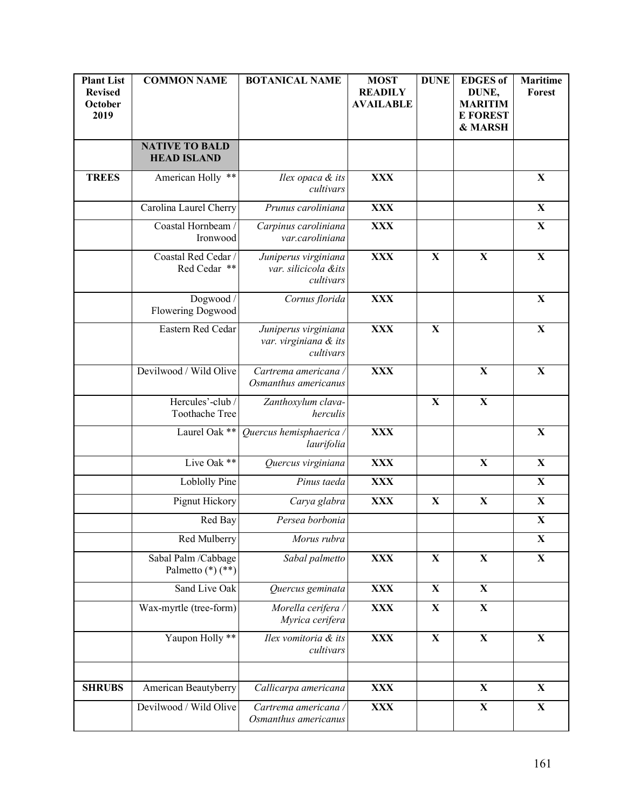| <b>Plant List</b><br><b>Revised</b><br>October<br>2019 | <b>COMMON NAME</b>                          | <b>BOTANICAL NAME</b>                                      | <b>MOST</b><br><b>READILY</b><br><b>AVAILABLE</b> | <b>DUNE</b>  | <b>EDGES</b> of<br>DUNE,<br><b>MARITIM</b><br><b>E FOREST</b><br>& MARSH | Maritime<br>Forest |
|--------------------------------------------------------|---------------------------------------------|------------------------------------------------------------|---------------------------------------------------|--------------|--------------------------------------------------------------------------|--------------------|
|                                                        | <b>NATIVE TO BALD</b><br><b>HEAD ISLAND</b> |                                                            |                                                   |              |                                                                          |                    |
| <b>TREES</b>                                           | American Holly **                           | Ilex opaca & its<br>cultivars                              | <b>XXX</b>                                        |              |                                                                          | $\mathbf X$        |
|                                                        | Carolina Laurel Cherry                      | Prunus caroliniana                                         | <b>XXX</b>                                        |              |                                                                          | $\mathbf X$        |
|                                                        | Coastal Hornbeam /<br>Ironwood              | Carpinus caroliniana<br>var.caroliniana                    | <b>XXX</b>                                        |              |                                                                          | $\mathbf X$        |
|                                                        | Coastal Red Cedar /<br>Red Cedar **         | Juniperus virginiana<br>var. silicicola &its<br>cultivars  | <b>XXX</b>                                        | $\mathbf X$  | $\mathbf X$                                                              | $\mathbf X$        |
|                                                        | Dogwood /<br>Flowering Dogwood              | Cornus florida                                             | <b>XXX</b>                                        |              |                                                                          | $\mathbf X$        |
|                                                        | Eastern Red Cedar                           | Juniperus virginiana<br>var. virginiana & its<br>cultivars | <b>XXX</b>                                        | X            |                                                                          | $\mathbf X$        |
|                                                        | Devilwood / Wild Olive                      | Cartrema americana /<br>Osmanthus americanus               | <b>XXX</b>                                        |              | $\mathbf X$                                                              | $\mathbf X$        |
|                                                        | Hercules'-club/<br>Toothache Tree           | Zanthoxylum clava-<br>herculis                             |                                                   | $\mathbf{X}$ | $\mathbf X$                                                              |                    |
|                                                        | Laurel Oak **                               | Quercus hemisphaerica /<br>laurifolia                      | <b>XXX</b>                                        |              |                                                                          | $\mathbf X$        |
|                                                        | Live Oak **                                 | Quercus virginiana                                         | <b>XXX</b>                                        |              | $\mathbf X$                                                              | $\mathbf X$        |
|                                                        | Loblolly Pine                               | Pinus taeda                                                | <b>XXX</b>                                        |              |                                                                          | $\mathbf X$        |
|                                                        | Pignut Hickory                              | Carya glabra                                               | <b>XXX</b>                                        | $\mathbf X$  | $\mathbf X$                                                              | $\mathbf X$        |
|                                                        | Red Bay                                     | Persea borbonia                                            |                                                   |              |                                                                          | $\mathbf X$        |
|                                                        | Red Mulberry                                | Morus rubra                                                |                                                   |              |                                                                          | $\mathbf X$        |
|                                                        | Sabal Palm /Cabbage<br>Palmetto (*) (**)    | Sabal palmetto                                             | <b>XXX</b>                                        | $\mathbf X$  | $\mathbf X$                                                              | $\mathbf X$        |
|                                                        | Sand Live Oak                               | Quercus geminata                                           | <b>XXX</b>                                        | $\mathbf X$  | $\mathbf X$                                                              |                    |
|                                                        | Wax-myrtle (tree-form)                      | Morella cerifera /<br>Myrica cerifera                      | <b>XXX</b>                                        | $\mathbf X$  | $\mathbf X$                                                              |                    |
|                                                        | Yaupon Holly **                             | Ilex vomitoria & its<br>cultivars                          | <b>XXX</b>                                        | $\mathbf X$  | $\mathbf X$                                                              | $\mathbf X$        |
| <b>SHRUBS</b>                                          | American Beautyberry                        | Callicarpa americana                                       | <b>XXX</b>                                        |              | $\mathbf X$                                                              | $\mathbf X$        |
|                                                        | Devilwood / Wild Olive                      | Cartrema americana /<br>Osmanthus americanus               | <b>XXX</b>                                        |              | $\mathbf X$                                                              | $\mathbf X$        |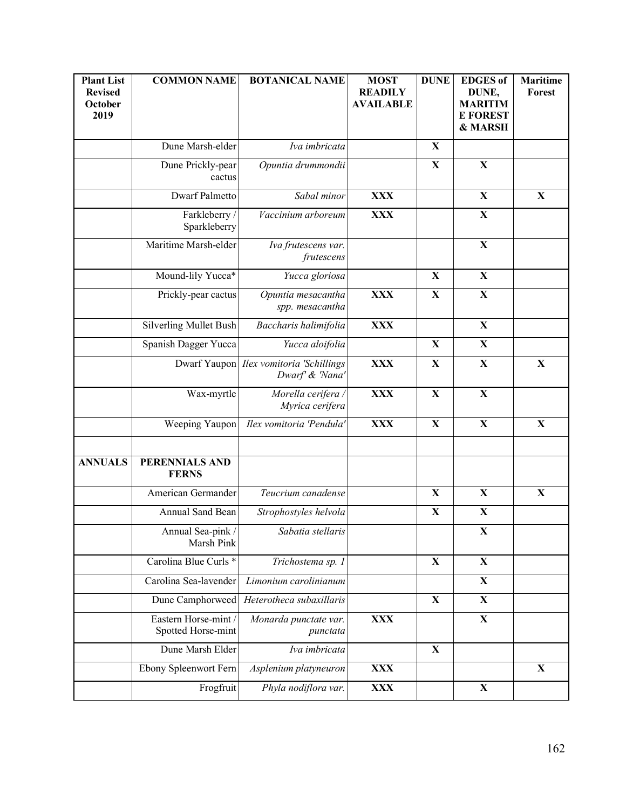| <b>Plant List</b><br><b>Revised</b><br>October<br>2019 | <b>COMMON NAME</b>                        | <b>BOTANICAL NAME</b>                                       | <b>MOST</b><br><b>READILY</b><br><b>AVAILABLE</b> | <b>DUNE</b> | <b>EDGES</b> of<br>DUNE,<br><b>MARITIM</b><br><b>E FOREST</b><br>& MARSH | <b>Maritime</b><br>Forest |
|--------------------------------------------------------|-------------------------------------------|-------------------------------------------------------------|---------------------------------------------------|-------------|--------------------------------------------------------------------------|---------------------------|
|                                                        | Dune Marsh-elder                          | Iva imbricata                                               |                                                   | X           |                                                                          |                           |
|                                                        | Dune Prickly-pear<br>cactus               | Opuntia drummondii                                          |                                                   | $\mathbf X$ | $\mathbf X$                                                              |                           |
|                                                        | Dwarf Palmetto                            | Sabal minor                                                 | <b>XXX</b>                                        |             | $\mathbf X$                                                              | $\mathbf X$               |
|                                                        | Farkleberry /<br>Sparkleberry             | Vaccinium arboreum                                          | <b>XXX</b>                                        |             | $\mathbf X$                                                              |                           |
|                                                        | Maritime Marsh-elder                      | Iva frutescens var.<br>frutescens                           |                                                   |             | $\mathbf X$                                                              |                           |
|                                                        | Mound-lily Yucca*                         | Yucca gloriosa                                              |                                                   | $\mathbf X$ | $\mathbf X$                                                              |                           |
|                                                        | Prickly-pear cactus                       | Opuntia mesacantha<br>spp. mesacantha                       | <b>XXX</b>                                        | $\mathbf X$ | $\mathbf X$                                                              |                           |
|                                                        | Silverling Mullet Bush                    | Baccharis halimifolia                                       | <b>XXX</b>                                        |             | $\mathbf{X}$                                                             |                           |
|                                                        | Spanish Dagger Yucca                      | Yucca aloifolia                                             |                                                   | $\mathbf X$ | $\mathbf X$                                                              |                           |
|                                                        |                                           | Dwarf Yaupon   Ilex vomitoria 'Schillings<br>Dwarf & 'Nana' | <b>XXX</b>                                        | $\mathbf X$ | $\mathbf X$                                                              | $\mathbf X$               |
|                                                        | Wax-myrtle                                | Morella cerifera /<br>Myrica cerifera                       | <b>XXX</b>                                        | $\mathbf X$ | $\mathbf X$                                                              |                           |
|                                                        | Weeping Yaupon                            | Ilex vomitoria 'Pendula'                                    | <b>XXX</b>                                        | $\mathbf X$ | $\mathbf X$                                                              | $\mathbf X$               |
| <b>ANNUALS</b>                                         | PERENNIALS AND<br><b>FERNS</b>            |                                                             |                                                   |             |                                                                          |                           |
|                                                        | American Germander                        | Teucrium canadense                                          |                                                   | $\mathbf X$ | X                                                                        | $\mathbf X$               |
|                                                        | Annual Sand Bean                          | Strophostyles helvola                                       |                                                   | X           | $\mathbf X$                                                              |                           |
|                                                        | Annual Sea-pink /<br>Marsh Pink           | Sabatia stellaris                                           |                                                   |             | $\mathbf X$                                                              |                           |
|                                                        | Carolina Blue Curls <sup>*</sup>          | Trichostema sp. 1                                           |                                                   | $\mathbf X$ | $\mathbf X$                                                              |                           |
|                                                        | Carolina Sea-lavender                     | Limonium carolinianum                                       |                                                   |             | $\mathbf X$                                                              |                           |
|                                                        | Dune Camphorweed                          | Heterotheca subaxillaris                                    |                                                   | $\mathbf X$ | $\mathbf X$                                                              |                           |
|                                                        | Eastern Horse-mint/<br>Spotted Horse-mint | Monarda punctate var.<br>punctata                           | <b>XXX</b>                                        |             | $\mathbf X$                                                              |                           |
|                                                        | Dune Marsh Elder                          | Iva imbricata                                               |                                                   | $\mathbf X$ |                                                                          |                           |
|                                                        | Ebony Spleenwort Fern                     | Asplenium platyneuron                                       | <b>XXX</b>                                        |             |                                                                          | $\mathbf X$               |
|                                                        | Frogfruit                                 | Phyla nodiflora var.                                        | <b>XXX</b>                                        |             | $\mathbf X$                                                              |                           |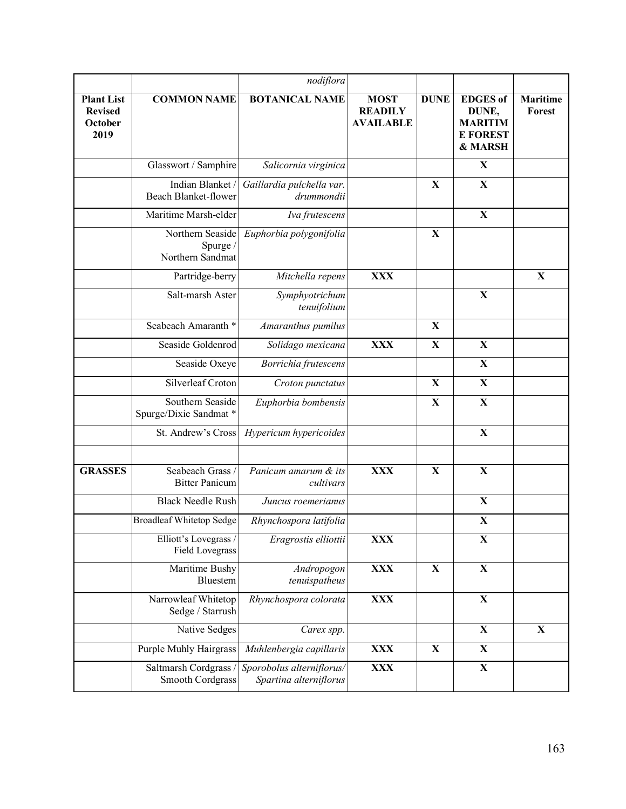|                                                        |                                                  | nodiflora                                           |                                                   |             |                                                                          |                           |
|--------------------------------------------------------|--------------------------------------------------|-----------------------------------------------------|---------------------------------------------------|-------------|--------------------------------------------------------------------------|---------------------------|
| <b>Plant List</b><br><b>Revised</b><br>October<br>2019 | <b>COMMON NAME</b>                               | <b>BOTANICAL NAME</b>                               | <b>MOST</b><br><b>READILY</b><br><b>AVAILABLE</b> | <b>DUNE</b> | <b>EDGES</b> of<br>DUNE,<br><b>MARITIM</b><br><b>E FOREST</b><br>& MARSH | <b>Maritime</b><br>Forest |
|                                                        | Glasswort / Samphire                             | Salicornia virginica                                |                                                   |             | X                                                                        |                           |
|                                                        | Indian Blanket/<br>Beach Blanket-flower          | Gaillardia pulchella var.<br>drummondii             |                                                   | X           | $\mathbf X$                                                              |                           |
|                                                        | Maritime Marsh-elder                             | Iva frutescens                                      |                                                   |             | $\mathbf X$                                                              |                           |
|                                                        | Northern Seaside<br>Spurge /<br>Northern Sandmat | Euphorbia polygonifolia                             |                                                   | X           |                                                                          |                           |
|                                                        | Partridge-berry                                  | Mitchella repens                                    | <b>XXX</b>                                        |             |                                                                          | X                         |
|                                                        | Salt-marsh Aster                                 | Symphyotrichum<br>tenuifolium                       |                                                   |             | $\mathbf X$                                                              |                           |
|                                                        | Seabeach Amaranth <sup>*</sup>                   | Amaranthus pumilus                                  |                                                   | $\mathbf X$ |                                                                          |                           |
|                                                        | Seaside Goldenrod                                | Solidago mexicana                                   | <b>XXX</b>                                        | $\mathbf X$ | $\mathbf X$                                                              |                           |
|                                                        | Seaside Oxeye                                    | Borrichia frutescens                                |                                                   |             | $\mathbf X$                                                              |                           |
|                                                        | Silverleaf Croton                                | Croton punctatus                                    |                                                   | $\mathbf X$ | $\mathbf X$                                                              |                           |
|                                                        | Southern Seaside<br>Spurge/Dixie Sandmat *       | Euphorbia bombensis                                 |                                                   | $\mathbf X$ | $\mathbf X$                                                              |                           |
|                                                        | St. Andrew's Cross                               | Hypericum hypericoides                              |                                                   |             | $\mathbf X$                                                              |                           |
| <b>GRASSES</b>                                         | Seabeach Grass /<br><b>Bitter Panicum</b>        | Panicum amarum & its<br>cultivars                   | <b>XXX</b>                                        | $\mathbf X$ | $\mathbf X$                                                              |                           |
|                                                        | <b>Black Needle Rush</b>                         | Juncus roemerianus                                  |                                                   |             | $\mathbf X$                                                              |                           |
|                                                        | <b>Broadleaf Whitetop Sedge</b>                  | Rhynchospora latifolia                              |                                                   |             | $\mathbf X$                                                              |                           |
|                                                        | Elliott's Lovegrass /<br><b>Field Lovegrass</b>  | Eragrostis elliottii                                | <b>XXX</b>                                        |             | $\mathbf X$                                                              |                           |
|                                                        | Maritime Bushy<br>Bluestem                       | Andropogon<br>tenuispatheus                         | <b>XXX</b>                                        | X           | $\mathbf X$                                                              |                           |
|                                                        | Narrowleaf Whitetop<br>Sedge / Starrush          | Rhynchospora colorata                               | <b>XXX</b>                                        |             | $\mathbf X$                                                              |                           |
|                                                        | Native Sedges                                    | Carex spp.                                          |                                                   |             | $\mathbf X$                                                              | X                         |
|                                                        | Purple Muhly Hairgrass                           | Muhlenbergia capillaris                             | <b>XXX</b>                                        | X           | $\mathbf X$                                                              |                           |
|                                                        | Saltmarsh Cordgrass<br>Smooth Cordgrass          | Sporobolus alterniflorus/<br>Spartina alterniflorus | <b>XXX</b>                                        |             | $\mathbf X$                                                              |                           |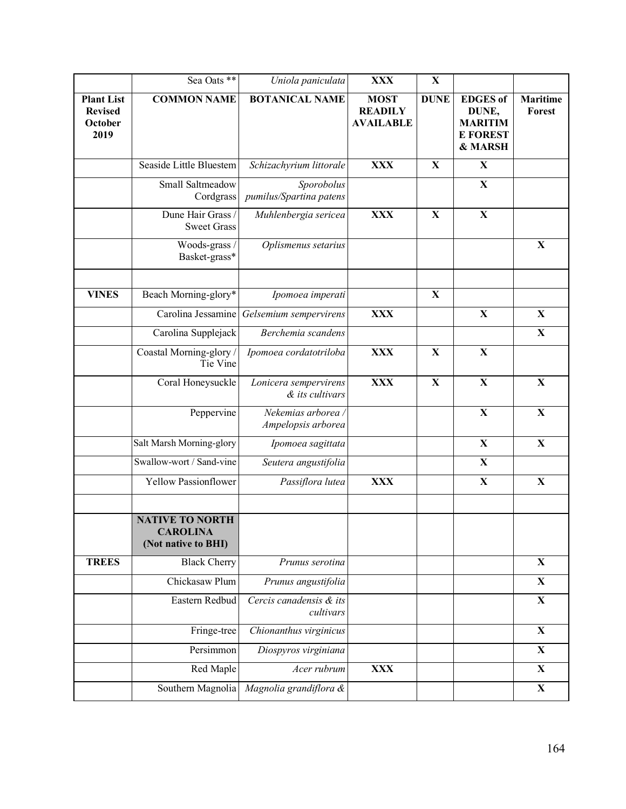|                                                        | Sea Oats **                                                      | Uniola paniculata                        | <b>XXX</b>                                        | $\mathbf X$ |                                                                          |                           |
|--------------------------------------------------------|------------------------------------------------------------------|------------------------------------------|---------------------------------------------------|-------------|--------------------------------------------------------------------------|---------------------------|
| <b>Plant List</b><br><b>Revised</b><br>October<br>2019 | <b>COMMON NAME</b>                                               | <b>BOTANICAL NAME</b>                    | <b>MOST</b><br><b>READILY</b><br><b>AVAILABLE</b> | <b>DUNE</b> | <b>EDGES</b> of<br>DUNE,<br><b>MARITIM</b><br><b>E FOREST</b><br>& MARSH | <b>Maritime</b><br>Forest |
|                                                        | Seaside Little Bluestem                                          | Schizachyrium littorale                  | <b>XXX</b>                                        | X           | $\mathbf X$                                                              |                           |
|                                                        | Small Saltmeadow<br>Cordgrass                                    | Sporobolus<br>pumilus/Spartina patens    |                                                   |             | $\mathbf X$                                                              |                           |
|                                                        | Dune Hair Grass /<br><b>Sweet Grass</b>                          | Muhlenbergia sericea                     | <b>XXX</b>                                        | $\mathbf X$ | $\mathbf X$                                                              |                           |
|                                                        | Woods-grass /<br>Basket-grass*                                   | Oplismenus setarius                      |                                                   |             |                                                                          | X                         |
| <b>VINES</b>                                           | Beach Morning-glory*                                             | Ipomoea imperati                         |                                                   | X           |                                                                          |                           |
|                                                        | Carolina Jessamine                                               | Gelsemium sempervirens                   | <b>XXX</b>                                        |             | $\mathbf X$                                                              | $\mathbf X$               |
|                                                        | Carolina Supplejack                                              | Berchemia scandens                       |                                                   |             |                                                                          | $\mathbf X$               |
|                                                        | Coastal Morning-glory /<br>Tie Vine                              | Ipomoea cordatotriloba                   | <b>XXX</b>                                        | $\mathbf X$ | $\mathbf X$                                                              |                           |
|                                                        | Coral Honeysuckle                                                | Lonicera sempervirens<br>& its cultivars | <b>XXX</b>                                        | $\mathbf X$ | $\mathbf X$                                                              | $\mathbf X$               |
|                                                        | Peppervine                                                       | Nekemias arborea /<br>Ampelopsis arborea |                                                   |             | $\mathbf X$                                                              | $\mathbf X$               |
|                                                        | Salt Marsh Morning-glory                                         | Ipomoea sagittata                        |                                                   |             | $\mathbf X$                                                              | $\mathbf X$               |
|                                                        | Swallow-wort / Sand-vine                                         | Seutera angustifolia                     |                                                   |             | $\mathbf X$                                                              |                           |
|                                                        | <b>Yellow Passionflower</b>                                      | Passiflora lutea                         | <b>XXX</b>                                        |             | $\mathbf X$                                                              | $\mathbf X$               |
|                                                        | <b>NATIVE TO NORTH</b><br><b>CAROLINA</b><br>(Not native to BHI) |                                          |                                                   |             |                                                                          |                           |
| <b>TREES</b>                                           | <b>Black Cherry</b>                                              | Prunus serotina                          |                                                   |             |                                                                          | $\mathbf X$               |
|                                                        | Chickasaw Plum                                                   | Prunus angustifolia                      |                                                   |             |                                                                          | $\mathbf X$               |
|                                                        | Eastern Redbud                                                   | Cercis canadensis & its<br>cultivars     |                                                   |             |                                                                          | $\mathbf X$               |
|                                                        | Fringe-tree                                                      | Chionanthus virginicus                   |                                                   |             |                                                                          | $\mathbf X$               |
|                                                        | Persimmon                                                        | Diospyros virginiana                     |                                                   |             |                                                                          | $\mathbf X$               |
|                                                        | Red Maple                                                        | Acer rubrum                              | <b>XXX</b>                                        |             |                                                                          | $\mathbf X$               |
|                                                        | Southern Magnolia                                                | Magnolia grandiflora &                   |                                                   |             |                                                                          | $\mathbf X$               |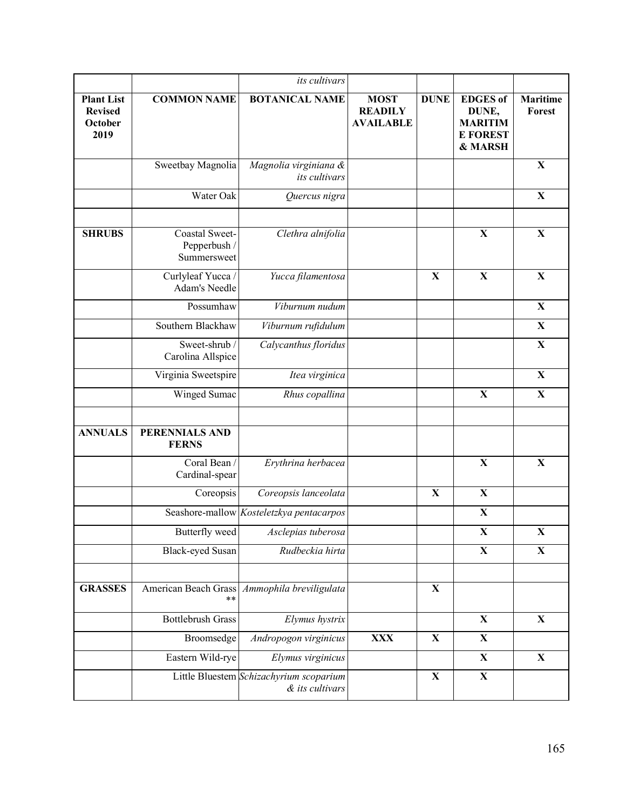|                                                        |                                               | its cultivars                                              |                                                   |             |                                                                          |                           |
|--------------------------------------------------------|-----------------------------------------------|------------------------------------------------------------|---------------------------------------------------|-------------|--------------------------------------------------------------------------|---------------------------|
| <b>Plant List</b><br><b>Revised</b><br>October<br>2019 | <b>COMMON NAME</b>                            | <b>BOTANICAL NAME</b>                                      | <b>MOST</b><br><b>READILY</b><br><b>AVAILABLE</b> | <b>DUNE</b> | <b>EDGES</b> of<br>DUNE,<br><b>MARITIM</b><br><b>E FOREST</b><br>& MARSH | <b>Maritime</b><br>Forest |
|                                                        | Sweetbay Magnolia                             | Magnolia virginiana &<br>its cultivars                     |                                                   |             |                                                                          | X                         |
|                                                        | Water Oak                                     | Quercus nigra                                              |                                                   |             |                                                                          | X                         |
|                                                        |                                               |                                                            |                                                   |             |                                                                          |                           |
| <b>SHRUBS</b>                                          | Coastal Sweet-<br>Pepperbush /<br>Summersweet | Clethra alnifolia                                          |                                                   |             | $\mathbf X$                                                              | $\mathbf X$               |
|                                                        | Curlyleaf Yucca /<br>Adam's Needle            | Yucca filamentosa                                          |                                                   | $\mathbf X$ | $\mathbf X$                                                              | $\mathbf X$               |
|                                                        | Possumhaw                                     | Viburnum nudum                                             |                                                   |             |                                                                          | $\mathbf X$               |
|                                                        | Southern Blackhaw                             | Viburnum rufidulum                                         |                                                   |             |                                                                          | $\mathbf X$               |
|                                                        | Sweet-shrub /<br>Carolina Allspice            | Calycanthus floridus                                       |                                                   |             |                                                                          | $\mathbf X$               |
|                                                        | Virginia Sweetspire                           | Itea virginica                                             |                                                   |             |                                                                          | $\mathbf X$               |
|                                                        | Winged Sumac                                  | Rhus copallina                                             |                                                   |             | $\mathbf X$                                                              | $\mathbf X$               |
|                                                        |                                               |                                                            |                                                   |             |                                                                          |                           |
| <b>ANNUALS</b>                                         | PERENNIALS AND<br><b>FERNS</b>                |                                                            |                                                   |             |                                                                          |                           |
|                                                        | Coral Bean /<br>Cardinal-spear                | Erythrina herbacea                                         |                                                   |             | $\mathbf X$                                                              | $\mathbf X$               |
|                                                        | Coreopsis                                     | Coreopsis lanceolata                                       |                                                   | $\mathbf X$ | $\mathbf X$                                                              |                           |
|                                                        |                                               | Seashore-mallow Kosteletzkya pentacarpos                   |                                                   |             | $\mathbf X$                                                              |                           |
|                                                        | Butterfly weed                                | Asclepias tuberosa                                         |                                                   |             | $\mathbf X$                                                              | $\mathbf X$               |
|                                                        | Black-eyed Susan                              | Rudbeckia hirta                                            |                                                   |             | $\mathbf X$                                                              | $\mathbf X$               |
|                                                        |                                               |                                                            |                                                   |             |                                                                          |                           |
| <b>GRASSES</b>                                         | American Beach Grass<br>**                    | Ammophila breviligulata                                    |                                                   | X           |                                                                          |                           |
|                                                        | <b>Bottlebrush Grass</b>                      | Elymus hystrix                                             |                                                   |             | $\mathbf X$                                                              | $\mathbf X$               |
|                                                        | Broomsedge                                    | Andropogon virginicus                                      | <b>XXX</b>                                        | $\mathbf X$ | $\mathbf X$                                                              |                           |
|                                                        | Eastern Wild-rye                              | Elymus virginicus                                          |                                                   |             | $\mathbf X$                                                              | $\mathbf X$               |
|                                                        |                                               | Little Bluestem Schizachyrium scoparium<br>& its cultivars |                                                   | $\mathbf X$ | $\mathbf X$                                                              |                           |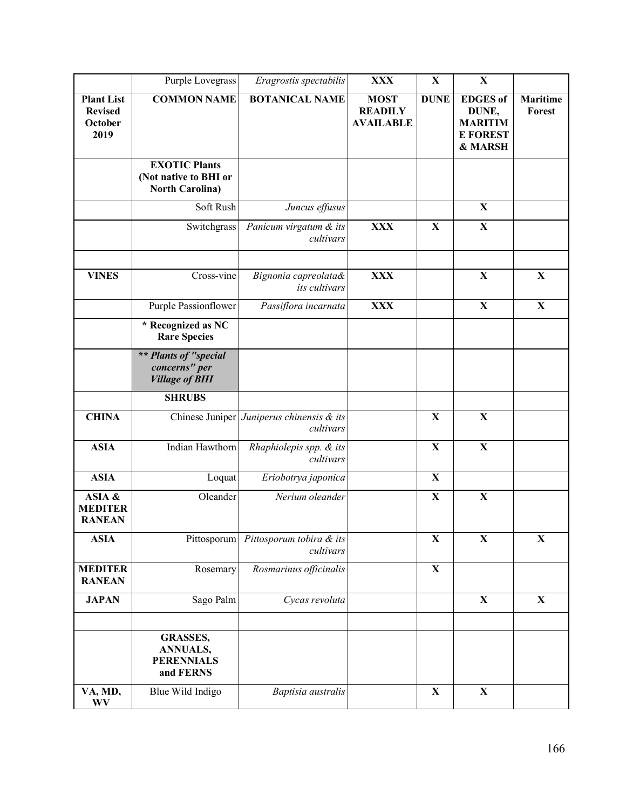|                                                        | Purple Lovegrass                                                        | Eragrostis spectabilis                                 | <b>XXX</b>                                        | $\mathbf X$ | $\mathbf X$                                                              |                           |
|--------------------------------------------------------|-------------------------------------------------------------------------|--------------------------------------------------------|---------------------------------------------------|-------------|--------------------------------------------------------------------------|---------------------------|
| <b>Plant List</b><br><b>Revised</b><br>October<br>2019 | <b>COMMON NAME</b>                                                      | <b>BOTANICAL NAME</b>                                  | <b>MOST</b><br><b>READILY</b><br><b>AVAILABLE</b> | <b>DUNE</b> | <b>EDGES</b> of<br>DUNE,<br><b>MARITIM</b><br><b>E FOREST</b><br>& MARSH | <b>Maritime</b><br>Forest |
|                                                        | <b>EXOTIC Plants</b><br>(Not native to BHI or<br><b>North Carolina)</b> |                                                        |                                                   |             |                                                                          |                           |
|                                                        | Soft Rush                                                               | Juncus effusus                                         |                                                   |             | $\mathbf X$                                                              |                           |
|                                                        | Switchgrass                                                             | Panicum virgatum & its<br>cultivars                    | <b>XXX</b>                                        | X           | $\mathbf X$                                                              |                           |
| <b>VINES</b>                                           | Cross-vine                                                              | Bignonia capreolata&<br>its cultivars                  | <b>XXX</b>                                        |             | $\mathbf X$                                                              | $\mathbf X$               |
|                                                        | Purple Passionflower                                                    | Passiflora incarnata                                   | <b>XXX</b>                                        |             | $\mathbf X$                                                              | $\mathbf X$               |
|                                                        | * Recognized as NC<br><b>Rare Species</b>                               |                                                        |                                                   |             |                                                                          |                           |
|                                                        | ** Plants of "special<br>concerns" per<br><b>Village of BHI</b>         |                                                        |                                                   |             |                                                                          |                           |
|                                                        | <b>SHRUBS</b>                                                           |                                                        |                                                   |             |                                                                          |                           |
| <b>CHINA</b>                                           |                                                                         | Chinese Juniper Juniperus chinensis & its<br>cultivars |                                                   | X           | $\mathbf X$                                                              |                           |
| <b>ASIA</b>                                            | Indian Hawthorn                                                         | Rhaphiolepis spp. & its<br>cultivars                   |                                                   | $\mathbf X$ | $\mathbf X$                                                              |                           |
| <b>ASIA</b>                                            | Loquat                                                                  | Eriobotrya japonica                                    |                                                   | $\mathbf X$ |                                                                          |                           |
| ASIA &<br><b>MEDITER</b><br><b>RANEAN</b>              | Oleander                                                                | Nerium oleander                                        |                                                   | $\mathbf X$ | $\mathbf X$                                                              |                           |
| <b>ASIA</b>                                            | Pittosporum                                                             | Pittosporum tobira & its<br>cultivars                  |                                                   | $\mathbf X$ | $\mathbf X$                                                              | $\mathbf X$               |
| <b>MEDITER</b><br><b>RANEAN</b>                        | Rosemary                                                                | Rosmarinus officinalis                                 |                                                   | $\mathbf X$ |                                                                          |                           |
| <b>JAPAN</b>                                           | Sago Palm                                                               | Cycas revoluta                                         |                                                   |             | $\mathbf X$                                                              | $\mathbf X$               |
|                                                        | <b>GRASSES,</b><br><b>ANNUALS,</b><br><b>PERENNIALS</b><br>and FERNS    |                                                        |                                                   | $\mathbf X$ | $\mathbf X$                                                              |                           |
| VA, MD,<br>WV                                          | Blue Wild Indigo                                                        | Baptisia australis                                     |                                                   |             |                                                                          |                           |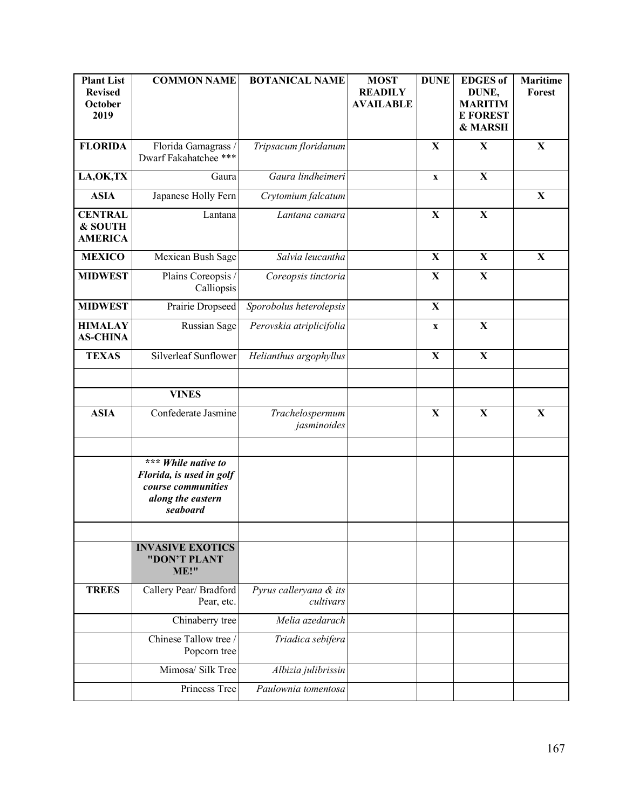| <b>Plant List</b><br><b>Revised</b><br>October<br>2019 | <b>COMMON NAME</b>                                                                                     | <b>BOTANICAL NAME</b>               | <b>MOST</b><br><b>READILY</b><br><b>AVAILABLE</b> | <b>DUNE</b> | <b>EDGES</b> of<br>DUNE,<br><b>MARITIM</b><br><b>E FOREST</b><br>& MARSH | <b>Maritime</b><br>Forest |
|--------------------------------------------------------|--------------------------------------------------------------------------------------------------------|-------------------------------------|---------------------------------------------------|-------------|--------------------------------------------------------------------------|---------------------------|
| <b>FLORIDA</b>                                         | Florida Gamagrass /<br>Dwarf Fakahatchee ***                                                           | Tripsacum floridanum                |                                                   | X           | $\mathbf X$                                                              | $\mathbf X$               |
| LA, OK, TX                                             | Gaura                                                                                                  | Gaura lindheimeri                   |                                                   | $\mathbf X$ | $\mathbf X$                                                              |                           |
| <b>ASIA</b>                                            | Japanese Holly Fern                                                                                    | Crytomium falcatum                  |                                                   |             |                                                                          | $\mathbf X$               |
| <b>CENTRAL</b><br>& SOUTH<br><b>AMERICA</b>            | Lantana                                                                                                | Lantana camara                      |                                                   | X           | $\mathbf X$                                                              |                           |
| <b>MEXICO</b>                                          | Mexican Bush Sage                                                                                      | Salvia leucantha                    |                                                   | $\mathbf X$ | $\mathbf X$                                                              | $\mathbf X$               |
| <b>MIDWEST</b>                                         | Plains Coreopsis /<br>Calliopsis                                                                       | Coreopsis tinctoria                 |                                                   | $\mathbf X$ | $\mathbf X$                                                              |                           |
| <b>MIDWEST</b>                                         | Prairie Dropseed                                                                                       | Sporobolus heterolepsis             |                                                   | $\mathbf X$ |                                                                          |                           |
| <b>HIMALAY</b><br><b>AS-CHINA</b>                      | Russian Sage                                                                                           | Perovskia atriplicifolia            |                                                   | $\mathbf X$ | $\mathbf X$                                                              |                           |
| <b>TEXAS</b>                                           | Silverleaf Sunflower                                                                                   | Helianthus argophyllus              |                                                   | X           | $\mathbf X$                                                              |                           |
|                                                        | <b>VINES</b>                                                                                           |                                     |                                                   |             |                                                                          |                           |
| <b>ASIA</b>                                            | Confederate Jasmine                                                                                    | Trachelospermum<br>jasminoides      |                                                   | X           | $\mathbf X$                                                              | $\mathbf X$               |
|                                                        | *** While native to<br>Florida, is used in golf<br>course communities<br>along the eastern<br>seaboard |                                     |                                                   |             |                                                                          |                           |
|                                                        | <b>INVASIVE EXOTICS</b><br>"DON'T PLANT<br>ME!"                                                        |                                     |                                                   |             |                                                                          |                           |
| <b>TREES</b>                                           | Callery Pear/ Bradford<br>Pear, etc.                                                                   | Pyrus calleryana & its<br>cultivars |                                                   |             |                                                                          |                           |
|                                                        | Chinaberry tree                                                                                        | Melia azedarach                     |                                                   |             |                                                                          |                           |
|                                                        | Chinese Tallow tree /<br>Popcorn tree                                                                  | Triadica sebifera                   |                                                   |             |                                                                          |                           |
|                                                        | Mimosa/ Silk Tree                                                                                      | Albizia julibrissin                 |                                                   |             |                                                                          |                           |
|                                                        | Princess Tree                                                                                          | Paulownia tomentosa                 |                                                   |             |                                                                          |                           |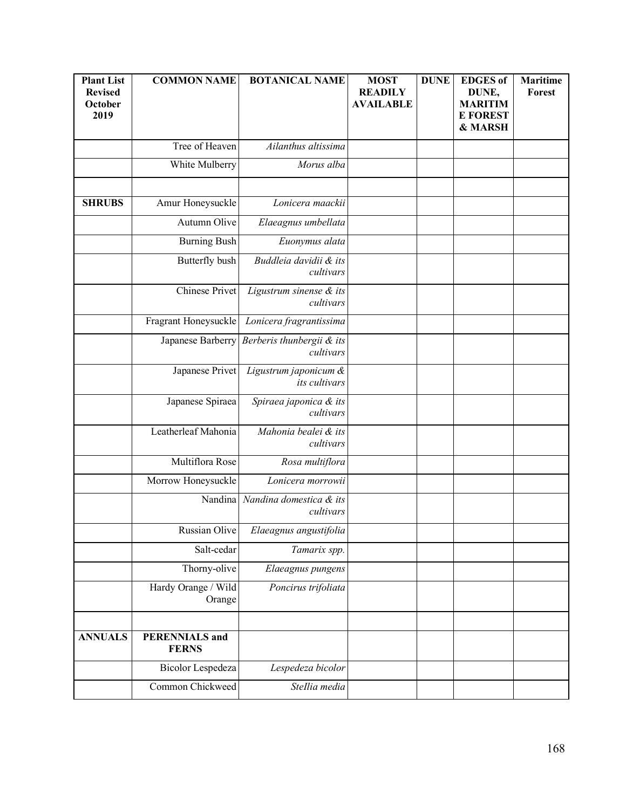| <b>Plant List</b><br><b>Revised</b><br>October<br>2019 | <b>COMMON NAME</b>                    | <b>BOTANICAL NAME</b>                  | <b>MOST</b><br><b>READILY</b><br><b>AVAILABLE</b> | <b>DUNE</b> | <b>EDGES</b> of<br>DUNE,<br><b>MARITIM</b><br><b>E FOREST</b><br>& MARSH | <b>Maritime</b><br>Forest |
|--------------------------------------------------------|---------------------------------------|----------------------------------------|---------------------------------------------------|-------------|--------------------------------------------------------------------------|---------------------------|
|                                                        | Tree of Heaven                        | Ailanthus altissima                    |                                                   |             |                                                                          |                           |
|                                                        | White Mulberry                        | Morus alba                             |                                                   |             |                                                                          |                           |
|                                                        |                                       |                                        |                                                   |             |                                                                          |                           |
| <b>SHRUBS</b>                                          | Amur Honeysuckle                      | Lonicera maackii                       |                                                   |             |                                                                          |                           |
|                                                        | Autumn Olive                          | Elaeagnus umbellata                    |                                                   |             |                                                                          |                           |
|                                                        | <b>Burning Bush</b>                   | Euonymus alata                         |                                                   |             |                                                                          |                           |
|                                                        | Butterfly bush                        | Buddleia davidii & its<br>cultivars    |                                                   |             |                                                                          |                           |
|                                                        | Chinese Privet                        | Ligustrum sinense & its<br>cultivars   |                                                   |             |                                                                          |                           |
|                                                        | Fragrant Honeysuckle                  | Lonicera fragrantissima                |                                                   |             |                                                                          |                           |
|                                                        | Japanese Barberry                     | Berberis thunbergii & its<br>cultivars |                                                   |             |                                                                          |                           |
|                                                        | Japanese Privet                       | Ligustrum japonicum &<br>its cultivars |                                                   |             |                                                                          |                           |
|                                                        | Japanese Spiraea                      | Spiraea japonica & its<br>cultivars    |                                                   |             |                                                                          |                           |
|                                                        | Leatherleaf Mahonia                   | Mahonia bealei & its<br>cultivars      |                                                   |             |                                                                          |                           |
|                                                        | Multiflora Rose                       | Rosa multiflora                        |                                                   |             |                                                                          |                           |
|                                                        | Morrow Honeysuckle                    | Lonicera morrowii                      |                                                   |             |                                                                          |                           |
|                                                        | Nandina                               | Nandina domestica & its<br>cultivars   |                                                   |             |                                                                          |                           |
|                                                        | Russian Olive                         | Elaeagnus angustifolia                 |                                                   |             |                                                                          |                           |
|                                                        | Salt-cedar                            | Tamarix spp.                           |                                                   |             |                                                                          |                           |
|                                                        | Thorny-olive                          | Elaeagnus pungens                      |                                                   |             |                                                                          |                           |
|                                                        | Hardy Orange / Wild<br>Orange         | Poncirus trifoliata                    |                                                   |             |                                                                          |                           |
|                                                        |                                       |                                        |                                                   |             |                                                                          |                           |
| <b>ANNUALS</b>                                         | <b>PERENNIALS</b> and<br><b>FERNS</b> |                                        |                                                   |             |                                                                          |                           |
|                                                        | <b>Bicolor Lespedeza</b>              | Lespedeza bicolor                      |                                                   |             |                                                                          |                           |
|                                                        | Common Chickweed                      | Stellia media                          |                                                   |             |                                                                          |                           |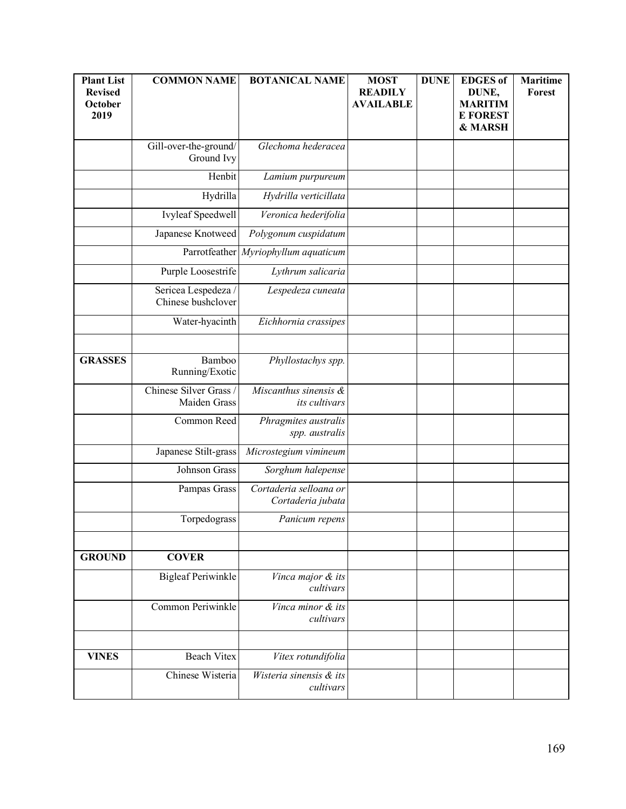| <b>Plant List</b><br><b>Revised</b><br>October<br>2019 | <b>COMMON NAME</b>                        | <b>BOTANICAL NAME</b>                       | <b>MOST</b><br><b>READILY</b><br><b>AVAILABLE</b> | <b>DUNE</b> | <b>EDGES</b> of<br>DUNE,<br><b>MARITIM</b><br><b>E FOREST</b><br>& MARSH | <b>Maritime</b><br><b>Forest</b> |
|--------------------------------------------------------|-------------------------------------------|---------------------------------------------|---------------------------------------------------|-------------|--------------------------------------------------------------------------|----------------------------------|
|                                                        | Gill-over-the-ground/<br>Ground Ivy       | Glechoma hederacea                          |                                                   |             |                                                                          |                                  |
|                                                        | Henbit                                    | Lamium purpureum                            |                                                   |             |                                                                          |                                  |
|                                                        | Hydrilla                                  | Hydrilla verticillata                       |                                                   |             |                                                                          |                                  |
|                                                        | Ivyleaf Speedwell                         | Veronica hederifolia                        |                                                   |             |                                                                          |                                  |
|                                                        | Japanese Knotweed                         | Polygonum cuspidatum                        |                                                   |             |                                                                          |                                  |
|                                                        |                                           | Parrotfeather Myriophyllum aquaticum        |                                                   |             |                                                                          |                                  |
|                                                        | Purple Loosestrife                        | Lythrum salicaria                           |                                                   |             |                                                                          |                                  |
|                                                        | Sericea Lespedeza /<br>Chinese bushclover | Lespedeza cuneata                           |                                                   |             |                                                                          |                                  |
|                                                        | Water-hyacinth                            | Eichhornia crassipes                        |                                                   |             |                                                                          |                                  |
|                                                        |                                           |                                             |                                                   |             |                                                                          |                                  |
| <b>GRASSES</b>                                         | Bamboo<br>Running/Exotic                  | Phyllostachys spp.                          |                                                   |             |                                                                          |                                  |
|                                                        | Chinese Silver Grass /<br>Maiden Grass    | Miscanthus sinensis &<br>its cultivars      |                                                   |             |                                                                          |                                  |
|                                                        | Common Reed                               | Phragmites australis<br>spp. australis      |                                                   |             |                                                                          |                                  |
|                                                        | Japanese Stilt-grass                      | Microstegium vimineum                       |                                                   |             |                                                                          |                                  |
|                                                        | Johnson Grass                             | Sorghum halepense                           |                                                   |             |                                                                          |                                  |
|                                                        | Pampas Grass                              | Cortaderia selloana or<br>Cortaderia jubata |                                                   |             |                                                                          |                                  |
|                                                        | Torpedograss                              | Panicum repens                              |                                                   |             |                                                                          |                                  |
|                                                        |                                           |                                             |                                                   |             |                                                                          |                                  |
| <b>GROUND</b>                                          | <b>COVER</b>                              |                                             |                                                   |             |                                                                          |                                  |
|                                                        | <b>Bigleaf Periwinkle</b>                 | Vinca major & its<br>cultivars              |                                                   |             |                                                                          |                                  |
|                                                        | Common Periwinkle                         | Vinca minor & its<br>cultivars              |                                                   |             |                                                                          |                                  |
|                                                        |                                           |                                             |                                                   |             |                                                                          |                                  |
| <b>VINES</b>                                           | <b>Beach Vitex</b>                        | Vitex rotundifolia                          |                                                   |             |                                                                          |                                  |
|                                                        | Chinese Wisteria                          | Wisteria sinensis & its<br>cultivars        |                                                   |             |                                                                          |                                  |